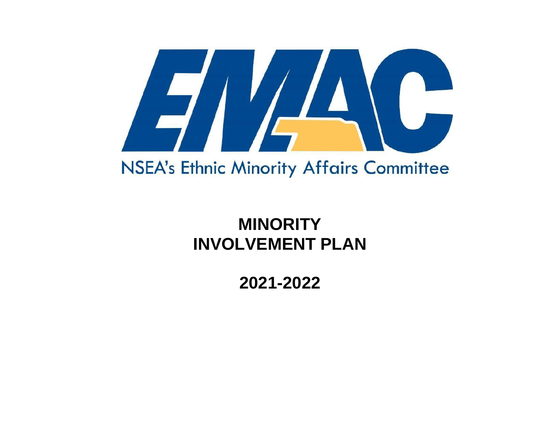

# NSEA's Ethnic Minority Affairs Committee

# **MINORITY INVOLVEMENT PLAN**

**2021-2022**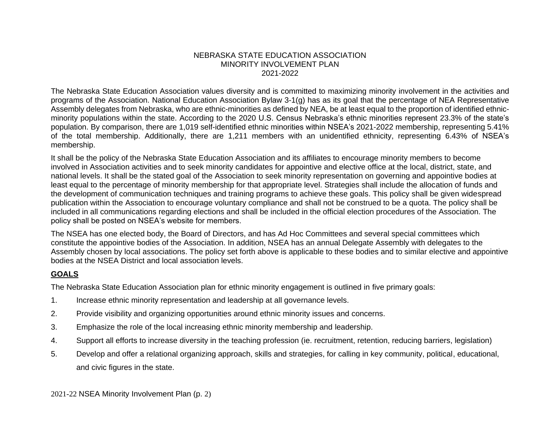#### NEBRASKA STATE EDUCATION ASSOCIATION MINORITY INVOLVEMENT PLAN 2021-2022

The Nebraska State Education Association values diversity and is committed to maximizing minority involvement in the activities and programs of the Association. National Education Association Bylaw 3-1(g) has as its goal that the percentage of NEA Representative Assembly delegates from Nebraska, who are ethnic-minorities as defined by NEA, be at least equal to the proportion of identified ethnicminority populations within the state. According to the 2020 U.S. Census Nebraska's ethnic minorities represent 23.3% of the state's population. By comparison, there are 1,019 self-identified ethnic minorities within NSEA's 2021-2022 membership, representing 5.41% of the total membership. Additionally, there are 1,211 members with an unidentified ethnicity, representing 6.43% of NSEA's membership.

It shall be the policy of the Nebraska State Education Association and its affiliates to encourage minority members to become involved in Association activities and to seek minority candidates for appointive and elective office at the local, district, state, and national levels. It shall be the stated goal of the Association to seek minority representation on governing and appointive bodies at least equal to the percentage of minority membership for that appropriate level. Strategies shall include the allocation of funds and the development of communication techniques and training programs to achieve these goals. This policy shall be given widespread publication within the Association to encourage voluntary compliance and shall not be construed to be a quota. The policy shall be included in all communications regarding elections and shall be included in the official election procedures of the Association. The policy shall be posted on NSEA's website for members.

The NSEA has one elected body, the Board of Directors, and has Ad Hoc Committees and several special committees which constitute the appointive bodies of the Association. In addition, NSEA has an annual Delegate Assembly with delegates to the Assembly chosen by local associations. The policy set forth above is applicable to these bodies and to similar elective and appointive bodies at the NSEA District and local association levels.

#### **GOALS**

The Nebraska State Education Association plan for ethnic minority engagement is outlined in five primary goals:

- 1. Increase ethnic minority representation and leadership at all governance levels.
- 2. Provide visibility and organizing opportunities around ethnic minority issues and concerns.
- 3. Emphasize the role of the local increasing ethnic minority membership and leadership.
- 4. Support all efforts to increase diversity in the teaching profession (ie. recruitment, retention, reducing barriers, legislation)
- 5. Develop and offer a relational organizing approach, skills and strategies, for calling in key community, political, educational, and civic figures in the state.

2021-22 NSEA Minority Involvement Plan (p. 2)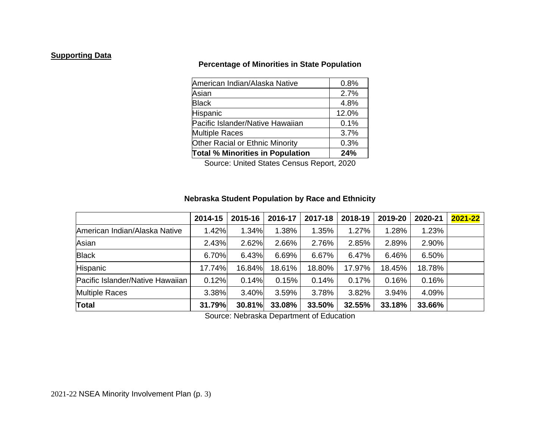#### **Supporting Data**

## **Percentage of Minorities in State Population**

| <b>Total % Minorities in Population</b> | 24%   |
|-----------------------------------------|-------|
| <b>Other Racial or Ethnic Minority</b>  | 0.3%  |
| <b>Multiple Races</b>                   | 3.7%  |
| Pacific Islander/Native Hawaiian        | 0.1%  |
| Hispanic                                | 12.0% |
| <b>Black</b>                            | 4.8%  |
| Asian                                   | 2.7%  |
| American Indian/Alaska Native           | 0.8%  |

Source: United States Census Report, 2020

#### **Nebraska Student Population by Race and Ethnicity**

|                                  | 2014-15 | 2015-16 | 2016-17 | 2017-18 | 2018-19 | 2019-20 | 2020-21 | $2021 - 22$ |
|----------------------------------|---------|---------|---------|---------|---------|---------|---------|-------------|
| American Indian/Alaska Native    | 1.42%   | 1.34%   | 1.38%   | 1.35%   | 1.27%   | 1.28%   | 1.23%   |             |
| Asian                            | 2.43%   | 2.62%   | 2.66%   | 2.76%   | 2.85%   | 2.89%   | 2.90%   |             |
| <b>Black</b>                     | 6.70%   | 6.43%   | 6.69%   | 6.67%   | 6.47%   | 6.46%   | 6.50%   |             |
| Hispanic                         | 17.74%  | 16.84%  | 18.61%  | 18.80%  | 17.97%  | 18.45%  | 18.78%  |             |
| Pacific Islander/Native Hawaiian | 0.12%   | 0.14%   | 0.15%   | 0.14%   | 0.17%   | 0.16%   | 0.16%   |             |
| <b>Multiple Races</b>            | 3.38%   | 3.40%   | 3.59%   | 3.78%   | 3.82%   | 3.94%   | 4.09%   |             |
| <b>Total</b>                     | 31.79%  | 30.81%  | 33.08%  | 33.50%  | 32.55%  | 33.18%  | 33.66%  |             |

Source: Nebraska Department of Education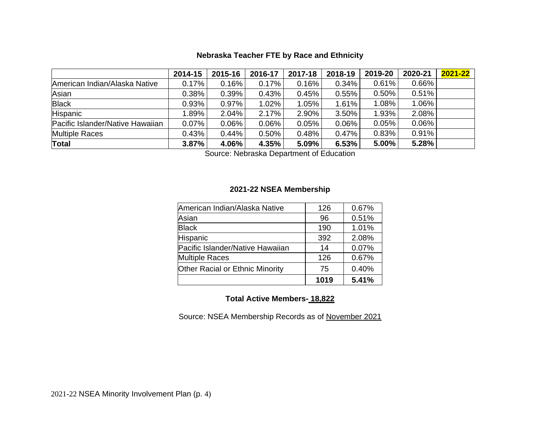## **Nebraska Teacher FTE by Race and Ethnicity**

|                                  | 2014-15  | 2015-16 | 2016-17 | 2017-18 | 2018-19 | 2019-20 | 2020-21 | $2021 - 22$ |
|----------------------------------|----------|---------|---------|---------|---------|---------|---------|-------------|
| American Indian/Alaska Native    | 0.17%    | 0.16%   | 0.17%   | 0.16%   | 0.34%   | 0.61%   | 0.66%   |             |
| Asian                            | 0.38%    | 0.39%   | 0.43%   | 0.45%   | 0.55%   | 0.50%   | 0.51%   |             |
| <b>Black</b>                     | 0.93%    | 0.97%   | 1.02%   | 1.05%   | 1.61%   | 1.08%   | 1.06%   |             |
| Hispanic                         | $1.89\%$ | 2.04%   | 2.17%   | 2.90%   | 3.50%   | 1.93%   | 2.08%   |             |
| Pacific Islander/Native Hawaiian | 0.07%    | 0.06%   | 0.06%   | 0.05%   | 0.06%   | 0.05%   | 0.06%   |             |
| <b>Multiple Races</b>            | 0.43%    | 0.44%   | 0.50%   | 0.48%   | 0.47%   | 0.83%   | 0.91%   |             |
| Total                            | 3.87%    | 4.06%   | 4.35%   | 5.09%   | 6.53%   | 5.00%   | 5.28%   |             |

Source: Nebraska Department of Education

#### **2021-22 NSEA Membership**

|                                        | 1019 | 5.41% |
|----------------------------------------|------|-------|
| <b>Other Racial or Ethnic Minority</b> | 75   | 0.40% |
| <b>Multiple Races</b>                  | 126  | 0.67% |
| Pacific Islander/Native Hawaiian       | 14   | 0.07% |
| Hispanic                               | 392  | 2.08% |
| <b>Black</b>                           | 190  | 1.01% |
| Asian                                  | 96   | 0.51% |
| American Indian/Alaska Native          | 126  | 0.67% |

# **Total Active Members- 18,822**

Source: NSEA Membership Records as of November 2021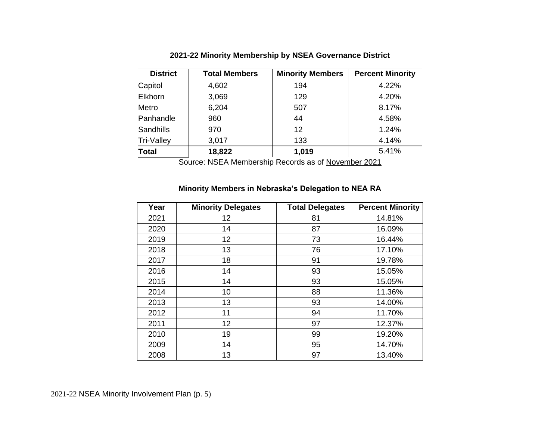| <b>District</b>  | <b>Total Members</b> | <b>Minority Members</b> | <b>Percent Minority</b> |  |  |
|------------------|----------------------|-------------------------|-------------------------|--|--|
| Capitol          | 4,602                | 194                     | 4.22%                   |  |  |
| Elkhorn          | 3,069                | 129                     | 4.20%                   |  |  |
| Metro            | 6,204                | 507                     | 8.17%                   |  |  |
| Panhandle        | 960                  | 44                      | 4.58%                   |  |  |
| <b>Sandhills</b> | 970                  | 12                      | 1.24%                   |  |  |
| Tri-Valley       | 3,017                | 133                     | 4.14%                   |  |  |
| <b>Total</b>     | 18,822               | 1,019                   | 5.41%                   |  |  |

## **2021-22 Minority Membership by NSEA Governance District**

Source: NSEA Membership Records as of November 2021

# **Minority Members in Nebraska's Delegation to NEA RA**

| Year | <b>Minority Delegates</b> | <b>Total Delegates</b> | <b>Percent Minority</b> |
|------|---------------------------|------------------------|-------------------------|
| 2021 | 12                        | 81                     | 14.81%                  |
| 2020 | 14                        | 87                     | 16.09%                  |
| 2019 | 12                        | 73                     | 16.44%                  |
| 2018 | 13                        | 76                     | 17.10%                  |
| 2017 | 18                        | 91                     | 19.78%                  |
| 2016 | 14                        | 93                     | 15.05%                  |
| 2015 | 14                        | 93                     | 15.05%                  |
| 2014 | 10                        | 88                     | 11.36%                  |
| 2013 | 13                        | 93                     | 14.00%                  |
| 2012 | 11                        | 94                     | 11.70%                  |
| 2011 | 12                        | 97                     | 12.37%                  |
| 2010 | 19                        | 99                     | 19.20%                  |
| 2009 | 14                        | 95                     | 14.70%                  |
| 2008 | 13                        | 97                     | 13.40%                  |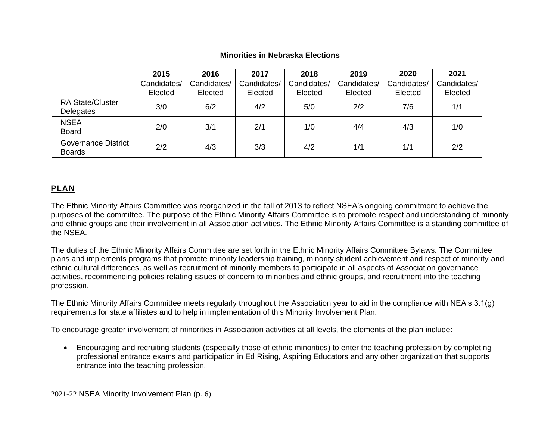|                                             | 2015                   | 2016                   | 2017                   | 2018                   | 2019                   | 2020                   | 2021                   |
|---------------------------------------------|------------------------|------------------------|------------------------|------------------------|------------------------|------------------------|------------------------|
|                                             | Candidates/<br>Elected | Candidates/<br>Elected | Candidates/<br>Elected | Candidates/<br>Elected | Candidates/<br>Elected | Candidates/<br>Elected | Candidates/<br>Elected |
| <b>RA State/Cluster</b><br>Delegates        | 3/0                    | 6/2                    | 4/2                    | 5/0                    | 2/2                    | 7/6                    | 1/1                    |
| <b>NSEA</b><br><b>Board</b>                 | 2/0                    | 3/1                    | 2/1                    | 1/0                    | 4/4                    | 4/3                    | 1/0                    |
| <b>Governance District</b><br><b>Boards</b> | 2/2                    | 4/3                    | 3/3                    | 4/2                    | 1/1                    | 1/1                    | 2/2                    |

#### **Minorities in Nebraska Elections**

## **PLAN**

The Ethnic Minority Affairs Committee was reorganized in the fall of 2013 to reflect NSEA's ongoing commitment to achieve the purposes of the committee. The purpose of the Ethnic Minority Affairs Committee is to promote respect and understanding of minority and ethnic groups and their involvement in all Association activities. The Ethnic Minority Affairs Committee is a standing committee of the NSEA.

The duties of the Ethnic Minority Affairs Committee are set forth in the Ethnic Minority Affairs Committee Bylaws. The Committee plans and implements programs that promote minority leadership training, minority student achievement and respect of minority and ethnic cultural differences, as well as recruitment of minority members to participate in all aspects of Association governance activities, recommending policies relating issues of concern to minorities and ethnic groups, and recruitment into the teaching profession.

The Ethnic Minority Affairs Committee meets regularly throughout the Association year to aid in the compliance with NEA's 3.1(g) requirements for state affiliates and to help in implementation of this Minority Involvement Plan.

To encourage greater involvement of minorities in Association activities at all levels, the elements of the plan include:

• Encouraging and recruiting students (especially those of ethnic minorities) to enter the teaching profession by completing professional entrance exams and participation in Ed Rising, Aspiring Educators and any other organization that supports entrance into the teaching profession.

2021-22 NSEA Minority Involvement Plan (p. 6)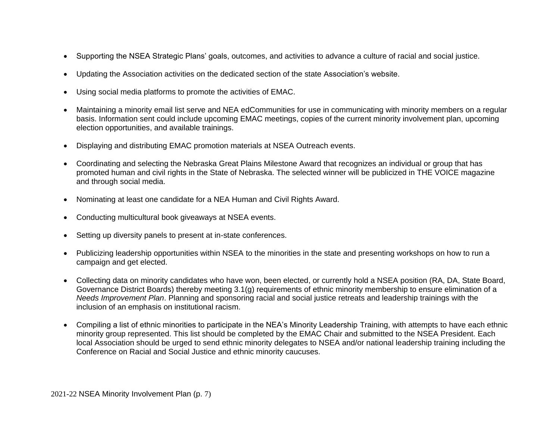- Supporting the NSEA Strategic Plans' goals, outcomes, and activities to advance a culture of racial and social justice.
- Updating the Association activities on the dedicated section of the state Association's website.
- Using social media platforms to promote the activities of EMAC.
- Maintaining a minority email list serve and NEA edCommunities for use in communicating with minority members on a regular basis. Information sent could include upcoming EMAC meetings, copies of the current minority involvement plan, upcoming election opportunities, and available trainings.
- Displaying and distributing EMAC promotion materials at NSEA Outreach events.
- Coordinating and selecting the Nebraska Great Plains Milestone Award that recognizes an individual or group that has promoted human and civil rights in the State of Nebraska. The selected winner will be publicized in THE VOICE magazine and through social media.
- Nominating at least one candidate for a NEA Human and Civil Rights Award.
- Conducting multicultural book giveaways at NSEA events.
- Setting up diversity panels to present at in-state conferences.
- Publicizing leadership opportunities within NSEA to the minorities in the state and presenting workshops on how to run a campaign and get elected.
- Collecting data on minority candidates who have won, been elected, or currently hold a NSEA position (RA, DA, State Board, Governance District Boards) thereby meeting 3.1(g) requirements of ethnic minority membership to ensure elimination of a *Needs Improvement Plan*. Planning and sponsoring racial and social justice retreats and leadership trainings with the inclusion of an emphasis on institutional racism.
- Compiling a list of ethnic minorities to participate in the NEA's Minority Leadership Training, with attempts to have each ethnic minority group represented. This list should be completed by the EMAC Chair and submitted to the NSEA President. Each local Association should be urged to send ethnic minority delegates to NSEA and/or national leadership training including the Conference on Racial and Social Justice and ethnic minority caucuses.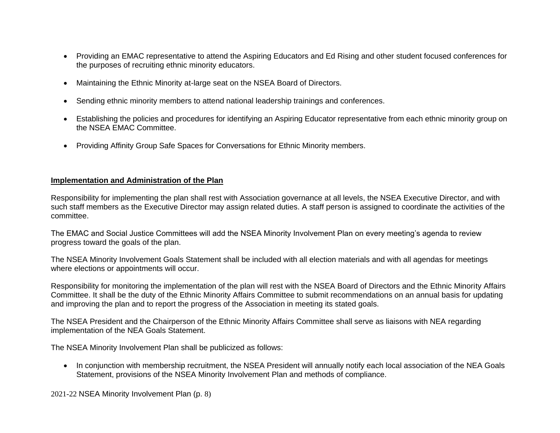- Providing an EMAC representative to attend the Aspiring Educators and Ed Rising and other student focused conferences for the purposes of recruiting ethnic minority educators.
- Maintaining the Ethnic Minority at-large seat on the NSEA Board of Directors.
- Sending ethnic minority members to attend national leadership trainings and conferences.
- Establishing the policies and procedures for identifying an Aspiring Educator representative from each ethnic minority group on the NSEA EMAC Committee.
- Providing Affinity Group Safe Spaces for Conversations for Ethnic Minority members.

#### **Implementation and Administration of the Plan**

Responsibility for implementing the plan shall rest with Association governance at all levels, the NSEA Executive Director, and with such staff members as the Executive Director may assign related duties. A staff person is assigned to coordinate the activities of the committee.

The EMAC and Social Justice Committees will add the NSEA Minority Involvement Plan on every meeting's agenda to review progress toward the goals of the plan.

The NSEA Minority Involvement Goals Statement shall be included with all election materials and with all agendas for meetings where elections or appointments will occur.

Responsibility for monitoring the implementation of the plan will rest with the NSEA Board of Directors and the Ethnic Minority Affairs Committee. It shall be the duty of the Ethnic Minority Affairs Committee to submit recommendations on an annual basis for updating and improving the plan and to report the progress of the Association in meeting its stated goals.

The NSEA President and the Chairperson of the Ethnic Minority Affairs Committee shall serve as liaisons with NEA regarding implementation of the NEA Goals Statement.

The NSEA Minority Involvement Plan shall be publicized as follows:

• In conjunction with membership recruitment, the NSEA President will annually notify each local association of the NEA Goals Statement, provisions of the NSEA Minority Involvement Plan and methods of compliance.

2021-22 NSEA Minority Involvement Plan (p. 8)